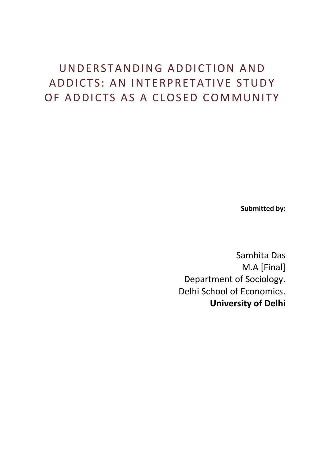# UNDERSTANDING ADDICTION AND ADDICTS: AN INTERPRETATIVE STUDY OF ADDICTS AS A CLOSED COMMUNITY

**Submitted by:**

Samhita Das M.A [Final] Department of Sociology. Delhi School of Economics. **University of Delhi**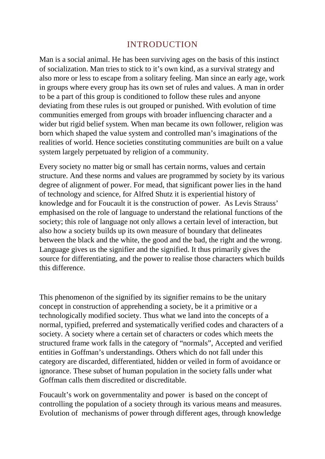# INTRODUCTION

Man is a social animal. He has been surviving ages on the basis of this instinct of socialization. Man tries to stick to it's own kind, as a survival strategy and also more or less to escape from a solitary feeling. Man since an early age, work in groups where every group has its own set of rules and values. A man in order to be a part of this group is conditioned to follow these rules and anyone deviating from these rules is out grouped or punished. With evolution of time communities emerged from groups with broader influencing character and a wider but rigid belief system. When man became its own follower, religion was born which shaped the value system and controlled man's imaginations of the realities of world. Hence societies constituting communities are built on a value system largely perpetuated by religion of a community.

Every society no matter big or small has certain norms, values and certain structure. And these norms and values are programmed by society by its various degree of alignment of power. For mead, that significant power lies in the hand of technology and science, for Alfred Shutz it is experiential history of knowledge and for Foucault it is the construction of power. As Levis Strauss' emphasised on the role of language to understand the relational functions of the society; this role of language not only allows a certain level of interaction, but also how a society builds up its own measure of boundary that delineates between the black and the white, the good and the bad, the right and the wrong. Language gives us the signifier and the signified. It thus primarily gives the source for differentiating, and the power to realise those characters which builds this difference.

This phenomenon of the signified by its signifier remains to be the unitary concept in construction of apprehending a society, be it a primitive or a technologically modified society. Thus what we land into the concepts of a normal, typified, preferred and systematically verified codes and characters of a society. A society where a certain set of characters or codes which meets the structured frame work falls in the category of "normals", Accepted and verified entities in Goffman's understandings. Others which do not fall under this category are discarded, differentiated, hidden or veiled in form of avoidance or ignorance. These subset of human population in the society falls under what Goffman calls them discredited or discreditable.

Foucault's work on governmentality and power is based on the concept of controlling the population of a society through its various means and measures. Evolution of mechanisms of power through different ages, through knowledge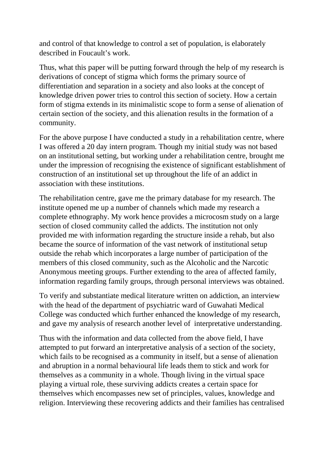and control of that knowledge to control a set of population, is elaborately described in Foucault's work.

Thus, what this paper will be putting forward through the help of my research is derivations of concept of stigma which forms the primary source of differentiation and separation in a society and also looks at the concept of knowledge driven power tries to control this section of society. How a certain form of stigma extends in its minimalistic scope to form a sense of alienation of certain section of the society, and this alienation results in the formation of a community.

For the above purpose I have conducted a study in a rehabilitation centre, where I was offered a 20 day intern program. Though my initial study was not based on an institutional setting, but working under a rehabilitation centre, brought me under the impression of recognising the existence of significant establishment of construction of an institutional set up throughout the life of an addict in association with these institutions.

The rehabilitation centre, gave me the primary database for my research. The institute opened me up a number of channels which made my research a complete ethnography. My work hence provides a microcosm study on a large section of closed community called the addicts. The institution not only provided me with information regarding the structure inside a rehab, but also became the source of information of the vast network of institutional setup outside the rehab which incorporates a large number of participation of the members of this closed community, such as the Alcoholic and the Narcotic Anonymous meeting groups. Further extending to the area of affected family, information regarding family groups, through personal interviews was obtained.

To verify and substantiate medical literature written on addiction, an interview with the head of the department of psychiatric ward of Guwahati Medical College was conducted which further enhanced the knowledge of my research, and gave my analysis of research another level of interpretative understanding.

Thus with the information and data collected from the above field, I have attempted to put forward an interpretative analysis of a section of the society, which fails to be recognised as a community in itself, but a sense of alienation and abruption in a normal behavioural life leads them to stick and work for themselves as a community in a whole. Though living in the virtual space playing a virtual role, these surviving addicts creates a certain space for themselves which encompasses new set of principles, values, knowledge and religion. Interviewing these recovering addicts and their families has centralised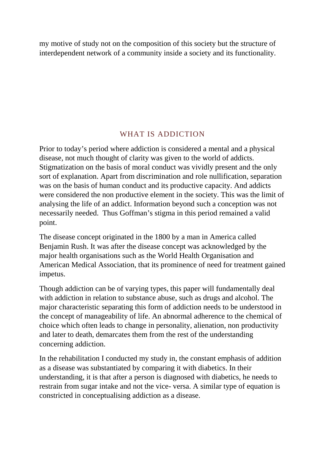my motive of study not on the composition of this society but the structure of interdependent network of a community inside a society and its functionality.

## WHAT IS ADDICTION

Prior to today's period where addiction is considered a mental and a physical disease, not much thought of clarity was given to the world of addicts. Stigmatization on the basis of moral conduct was vividly present and the only sort of explanation. Apart from discrimination and role nullification, separation was on the basis of human conduct and its productive capacity. And addicts were considered the non productive element in the society. This was the limit of analysing the life of an addict. Information beyond such a conception was not necessarily needed. Thus Goffman's stigma in this period remained a valid point.

The disease concept originated in the 1800 by a man in America called Benjamin Rush. It was after the disease concept was acknowledged by the major health organisations such as the World Health Organisation and American Medical Association, that its prominence of need for treatment gained impetus.

Though addiction can be of varying types, this paper will fundamentally deal with addiction in relation to substance abuse, such as drugs and alcohol. The major characteristic separating this form of addiction needs to be understood in the concept of manageability of life. An abnormal adherence to the chemical of choice which often leads to change in personality, alienation, non productivity and later to death, demarcates them from the rest of the understanding concerning addiction.

In the rehabilitation I conducted my study in, the constant emphasis of addition as a disease was substantiated by comparing it with diabetics. In their understanding, it is that after a person is diagnosed with diabetics, he needs to restrain from sugar intake and not the vice- versa. A similar type of equation is constricted in conceptualising addiction as a disease.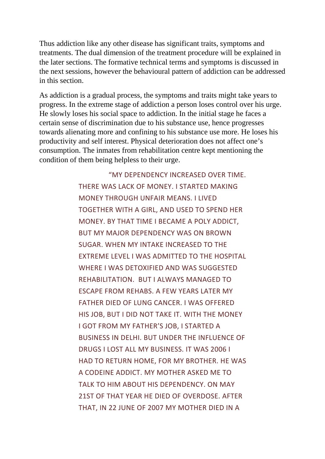Thus addiction like any other disease has significant traits, symptoms and treatments. The dual dimension of the treatment procedure will be explained in the later sections. The formative technical terms and symptoms is discussed in the next sessions, however the behavioural pattern of addiction can be addressed in this section.

As addiction is a gradual process, the symptoms and traits might take years to progress. In the extreme stage of addiction a person loses control over his urge. He slowly loses his social space to addiction. In the initial stage he faces a certain sense of discrimination due to his substance use, hence progresses towards alienating more and confining to his substance use more. He loses his productivity and self interest. Physical deterioration does not affect one's consumption. The inmates from rehabilitation centre kept mentioning the condition of them being helpless to their urge.

> "MY DEPENDENCY INCREASED OVER TIME. THERE WAS LACK OF MONEY. I STARTED MAKING MONEY THROUGH UNFAIR MEANS. I LIVED TOGETHER WITH A GIRL, AND USED TO SPEND HER MONEY. BY THAT TIME I BECAME A POLY ADDICT, BUT MY MAJOR DEPENDENCY WAS ON BROWN SUGAR. WHEN MY INTAKE INCREASED TO THE EXTREME LEVEL I WAS ADMITTED TO THE HOSPITAL WHERE I WAS DETOXIFIED AND WAS SUGGESTED REHABILITATION. BUT I ALWAYS MANAGED TO ESCAPE FROM REHABS. A FEW YEARS LATER MY FATHER DIED OF LUNG CANCER. I WAS OFFERED HIS JOB, BUT I DID NOT TAKE IT. WITH THE MONEY I GOT FROM MY FATHER'S JOB, I STARTED A BUSINESS IN DELHI. BUT UNDER THE INFLUENCE OF DRUGS I LOST ALL MY BUSINESS. IT WAS 2006 I HAD TO RETURN HOME, FOR MY BROTHER. HE WAS A CODEINE ADDICT. MY MOTHER ASKED ME TO TALK TO HIM ABOUT HIS DEPENDENCY. ON MAY 21ST OF THAT YEAR HE DIED OF OVERDOSE. AFTER THAT, IN 22 JUNE OF 2007 MY MOTHER DIED IN A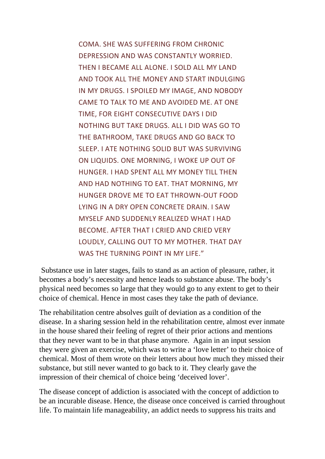COMA. SHE WAS SUFFERING FROM CHRONIC DEPRESSION AND WAS CONSTANTLY WORRIED. THEN I BECAME ALL ALONE. I SOLD ALL MY LAND AND TOOK ALL THE MONEY AND START INDULGING IN MY DRUGS. I SPOILED MY IMAGE, AND NOBODY CAME TO TALK TO ME AND AVOIDED ME. AT ONE TIME, FOR EIGHT CONSECUTIVE DAYS I DID NOTHING BUT TAKE DRUGS. ALL I DID WAS GO TO THE BATHROOM, TAKE DRUGS AND GO BACK TO SLEEP. I ATE NOTHING SOLID BUT WAS SURVIVING ON LIQUIDS. ONE MORNING, I WOKE UP OUT OF HUNGER. I HAD SPENT ALL MY MONEY TILL THEN AND HAD NOTHING TO EAT. THAT MORNING, MY HUNGER DROVE ME TO EAT THROWN-OUT FOOD LYING IN A DRY OPEN CONCRETE DRAIN. I SAW MYSELF AND SUDDENLY REALIZED WHAT I HAD BECOME. AFTER THAT I CRIED AND CRIED VERY LOUDLY, CALLING OUT TO MY MOTHER. THAT DAY WAS THE TURNING POINT IN MY LIFE."

Substance use in later stages, fails to stand as an action of pleasure, rather, it becomes a body's necessity and hence leads to substance abuse. The body's physical need becomes so large that they would go to any extent to get to their choice of chemical. Hence in most cases they take the path of deviance.

The rehabilitation centre absolves guilt of deviation as a condition of the disease. In a sharing session held in the rehabilitation centre, almost ever inmate in the house shared their feeling of regret of their prior actions and mentions that they never want to be in that phase anymore. Again in an input session they were given an exercise, which was to write a 'love letter' to their choice of chemical. Most of them wrote on their letters about how much they missed their substance, but still never wanted to go back to it. They clearly gave the impression of their chemical of choice being 'deceived lover'.

The disease concept of addiction is associated with the concept of addiction to be an incurable disease. Hence, the disease once conceived is carried throughout life. To maintain life manageability, an addict needs to suppress his traits and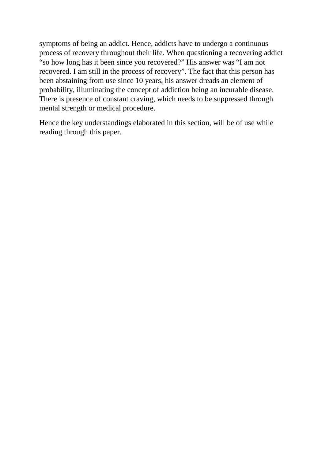symptoms of being an addict. Hence, addicts have to undergo a continuous process of recovery throughout their life. When questioning a recovering addict "so how long has it been since you recovered?" His answer was "I am not recovered. I am still in the process of recovery". The fact that this person has been abstaining from use since 10 years, his answer dreads an element of probability, illuminating the concept of addiction being an incurable disease. There is presence of constant craving, which needs to be suppressed through mental strength or medical procedure.

Hence the key understandings elaborated in this section, will be of use while reading through this paper.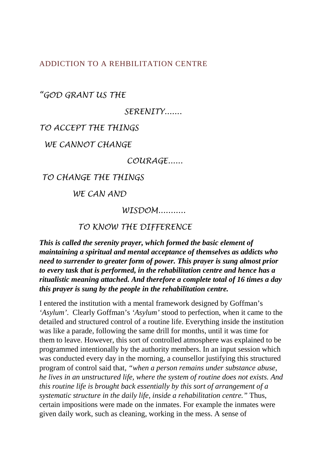ADDICTION TO A REHBILITATION CENTRE

*"GOD GRANT US THE* 

 *SERENITY.......*

*TO ACCEPT THE THINGS* 

 *WE CANNOT CHANGE*

 *COURAGE......*

*TO CHANGE THE THINGS* 

 *WE CAN AND*

 *WISDOM...........*

 *TO KNOW THE DIFFERENCE*

*This is called the serenity prayer, which formed the basic element of maintaining a spiritual and mental acceptance of themselves as addicts who need to surrender to greater form of power. This prayer is sung almost prior to every task that is performed, in the rehabilitation centre and hence has a ritualistic meaning attached. And therefore a complete total of 16 times a day this prayer is sung by the people in the rehabilitation centre.*

I entered the institution with a mental framework designed by Goffman's *'Asylum'*. Clearly Goffman's *'Asylum'* stood to perfection, when it came to the detailed and structured control of a routine life. Everything inside the institution was like a parade, following the same drill for months, until it was time for them to leave. However, this sort of controlled atmosphere was explained to be programmed intentionally by the authority members. In an input session which was conducted every day in the morning, a counsellor justifying this structured program of control said that*, "when a person remains under substance abuse, he lives in an unstructured life, where the system of routine does not exists. And this routine life is brought back essentially by this sort of arrangement of a systematic structure in the daily life, inside a rehabilitation centre."* Thus, certain impositions were made on the inmates. For example the inmates were given daily work, such as cleaning, working in the mess. A sense of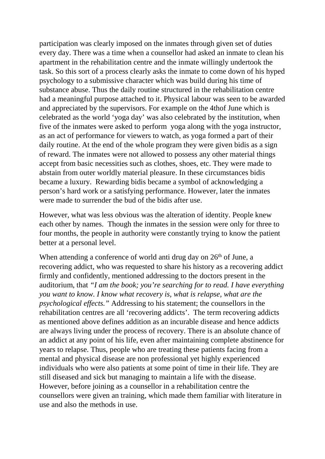participation was clearly imposed on the inmates through given set of duties every day. There was a time when a counsellor had asked an inmate to clean his apartment in the rehabilitation centre and the inmate willingly undertook the task. So this sort of a process clearly asks the inmate to come down of his hyped psychology to a submissive character which was build during his time of substance abuse. Thus the daily routine structured in the rehabilitation centre had a meaningful purpose attached to it. Physical labour was seen to be awarded and appreciated by the supervisors. For example on the 4thof June which is celebrated as the world 'yoga day' was also celebrated by the institution, when five of the inmates were asked to perform yoga along with the yoga instructor, as an act of performance for viewers to watch, as yoga formed a part of their daily routine. At the end of the whole program they were given bidis as a sign of reward. The inmates were not allowed to possess any other material things accept from basic necessities such as clothes, shoes, etc. They were made to abstain from outer worldly material pleasure. In these circumstances bidis became a luxury. Rewarding bidis became a symbol of acknowledging a person's hard work or a satisfying performance. However, later the inmates were made to surrender the bud of the bidis after use.

However, what was less obvious was the alteration of identity. People knew each other by names. Though the inmates in the session were only for three to four months, the people in authority were constantly trying to know the patient better at a personal level.

When attending a conference of world anti drug day on  $26<sup>th</sup>$  of June, a recovering addict, who was requested to share his history as a recovering addict firmly and confidently, mentioned addressing to the doctors present in the auditorium, that *"I am the book; you're searching for to read. I have everything you want to know. I know what recovery is, what is relapse, what are the psychological effects."* Addressing to his statement; the counsellors in the rehabilitation centres are all 'recovering addicts'. The term recovering addicts as mentioned above defines addition as an incurable disease and hence addicts are always living under the process of recovery. There is an absolute chance of an addict at any point of his life, even after maintaining complete abstinence for years to relapse. Thus, people who are treating these patients facing from a mental and physical disease are non professional yet highly experienced individuals who were also patients at some point of time in their life. They are still diseased and sick but managing to maintain a life with the disease. However, before joining as a counsellor in a rehabilitation centre the counsellors were given an training, which made them familiar with literature in use and also the methods in use.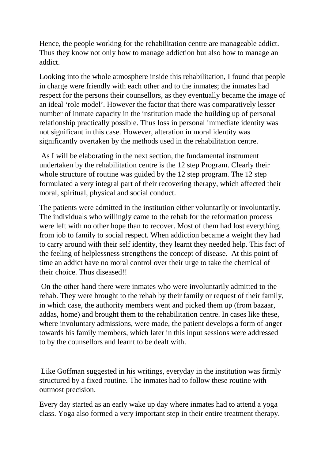Hence, the people working for the rehabilitation centre are manageable addict. Thus they know not only how to manage addiction but also how to manage an addict.

Looking into the whole atmosphere inside this rehabilitation, I found that people in charge were friendly with each other and to the inmates; the inmates had respect for the persons their counsellors, as they eventually became the image of an ideal 'role model'. However the factor that there was comparatively lesser number of inmate capacity in the institution made the building up of personal relationship practically possible. Thus loss in personal immediate identity was not significant in this case. However, alteration in moral identity was significantly overtaken by the methods used in the rehabilitation centre.

As I will be elaborating in the next section, the fundamental instrument undertaken by the rehabilitation centre is the 12 step Program. Clearly their whole structure of routine was guided by the 12 step program. The 12 step formulated a very integral part of their recovering therapy, which affected their moral, spiritual, physical and social conduct.

The patients were admitted in the institution either voluntarily or involuntarily. The individuals who willingly came to the rehab for the reformation process were left with no other hope than to recover. Most of them had lost everything, from job to family to social respect. When addiction became a weight they had to carry around with their self identity, they learnt they needed help. This fact of the feeling of helplessness strengthens the concept of disease. At this point of time an addict have no moral control over their urge to take the chemical of their choice. Thus diseased!!

On the other hand there were inmates who were involuntarily admitted to the rehab. They were brought to the rehab by their family or request of their family, in which case, the authority members went and picked them up (from bazaar, addas, home) and brought them to the rehabilitation centre. In cases like these, where involuntary admissions, were made, the patient develops a form of anger towards his family members, which later in this input sessions were addressed to by the counsellors and learnt to be dealt with.

Like Goffman suggested in his writings, everyday in the institution was firmly structured by a fixed routine. The inmates had to follow these routine with outmost precision.

Every day started as an early wake up day where inmates had to attend a yoga class. Yoga also formed a very important step in their entire treatment therapy.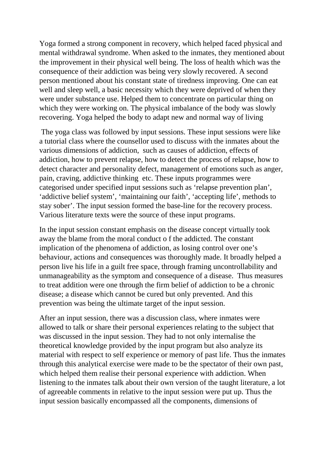Yoga formed a strong component in recovery, which helped faced physical and mental withdrawal syndrome. When asked to the inmates, they mentioned about the improvement in their physical well being. The loss of health which was the consequence of their addiction was being very slowly recovered. A second person mentioned about his constant state of tiredness improving. One can eat well and sleep well, a basic necessity which they were deprived of when they were under substance use. Helped them to concentrate on particular thing on which they were working on. The physical imbalance of the body was slowly recovering. Yoga helped the body to adapt new and normal way of living

The yoga class was followed by input sessions. These input sessions were like a tutorial class where the counsellor used to discuss with the inmates about the various dimensions of addiction, such as causes of addiction, effects of addiction, how to prevent relapse, how to detect the process of relapse, how to detect character and personality defect, management of emotions such as anger, pain, craving, addictive thinking etc. These inputs programmes were categorised under specified input sessions such as 'relapse prevention plan', 'addictive belief system', 'maintaining our faith', 'accepting life', methods to stay sober'. The input session formed the base-line for the recovery process. Various literature texts were the source of these input programs.

In the input session constant emphasis on the disease concept virtually took away the blame from the moral conduct o f the addicted. The constant implication of the phenomena of addiction, as losing control over one's behaviour, actions and consequences was thoroughly made. It broadly helped a person live his life in a guilt free space, through framing uncontrollability and unmanageability as the symptom and consequence of a disease. Thus measures to treat addition were one through the firm belief of addiction to be a chronic disease; a disease which cannot be cured but only prevented. And this prevention was being the ultimate target of the input session.

After an input session, there was a discussion class, where inmates were allowed to talk or share their personal experiences relating to the subject that was discussed in the input session. They had to not only internalise the theoretical knowledge provided by the input program but also analyze its material with respect to self experience or memory of past life. Thus the inmates through this analytical exercise were made to be the spectator of their own past, which helped them realise their personal experience with addiction. When listening to the inmates talk about their own version of the taught literature, a lot of agreeable comments in relative to the input session were put up. Thus the input session basically encompassed all the components, dimensions of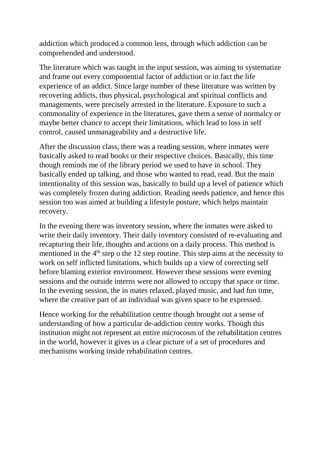addiction which produced a common lens, through which addiction can be comprehended and understood.

The literature which was taught in the input session, was aiming to systematize and frame out every componential factor of addiction or in fact the life experience of an addict. Since large number of these literature was written by recovering addicts, thus physical, psychological and spiritual conflicts and managements, were precisely arrested in the literature. Exposure to such a commonality of experience in the literatures, gave them a sense of normalcy or maybe better chance to accept their limitations, which lead to loss in self control, caused unmanageability and a destructive life.

After the discussion class, there was a reading session, where inmates were basically asked to read books or their respective choices. Basically, this time though reminds me of the library period we used to have in school. They basically ended up talking, and those who wanted to read, read. But the main intentionality of this session was, basically to build up a level of patience which was completely frozen during addiction. Reading needs patience, and hence this session too was aimed at building a lifestyle posture, which helps maintain recovery.

In the evening there was inventory session, where the inmates were asked to write their daily inventory. Their daily inventory consisted of re-evaluating and recapturing their life, thoughts and actions on a daily process. This method is mentioned in the  $4<sup>th</sup>$  step o the 12 step routine. This step aims at the necessity to work on self inflicted limitations, which builds up a view of correcting self before blaming exterior environment. However these sessions were evening sessions and the outside interns were not allowed to occupy that space or time. In the evening session, the in mates relaxed, played music, and had fun time, where the creative part of an individual was given space to be expressed.

Hence working for the rehabilitation centre though brought out a sense of understanding of how a particular de-addiction centre works. Though this institution might not represent an entire microcosm of the rehabilitation centres in the world, however it gives us a clear picture of a set of procedures and mechanisms working inside rehabilitation centres.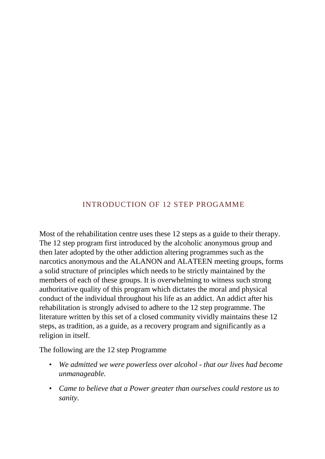## INTRODUCTION OF 12 STEP PROGAMME

Most of the rehabilitation centre uses these 12 steps as a guide to their therapy. The 12 step program first introduced by the alcoholic anonymous group and then later adopted by the other addiction altering programmes such as the narcotics anonymous and the ALANON and ALATEEN meeting groups, forms a solid structure of principles which needs to be strictly maintained by the members of each of these groups. It is overwhelming to witness such strong authoritative quality of this program which dictates the moral and physical conduct of the individual throughout his life as an addict. An addict after his rehabilitation is strongly advised to adhere to the 12 step programme. The literature written by this set of a closed community vividly maintains these 12 steps, as tradition, as a guide, as a recovery program and significantly as a religion in itself.

The following are the 12 step Programme

- *We admitted we were powerless over alcohol - that our lives had become unmanageable.*
- *Came to believe that a Power greater than ourselves could restore us to sanity.*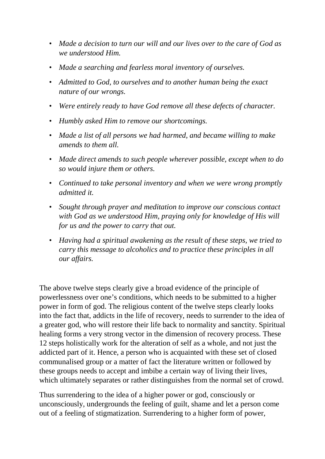- *Made a decision to turn our will and our lives over to the care of God as we understood Him.*
- *Made a searching and fearless moral inventory of ourselves.*
- *Admitted to God, to ourselves and to another human being the exact nature of our wrongs.*
- *Were entirely ready to have God remove all these defects of character.*
- *Humbly asked Him to remove our shortcomings.*
- *Made a list of all persons we had harmed, and became willing to make amends to them all.*
- *Made direct amends to such people wherever possible, except when to do so would injure them or others.*
- *Continued to take personal inventory and when we were wrong promptly admitted it.*
- *Sought through prayer and meditation to improve our conscious contact with God as we understood Him, praying only for knowledge of His will for us and the power to carry that out.*
- *Having had a spiritual awakening as the result of these steps, we tried to carry this message to alcoholics and to practice these principles in all our affairs.*

The above twelve steps clearly give a broad evidence of the principle of powerlessness over one's conditions, which needs to be submitted to a higher power in form of god. The religious content of the twelve steps clearly looks into the fact that, addicts in the life of recovery, needs to surrender to the idea of a greater god, who will restore their life back to normality and sanctity. Spiritual healing forms a very strong vector in the dimension of recovery process. These 12 steps holistically work for the alteration of self as a whole, and not just the addicted part of it. Hence, a person who is acquainted with these set of closed communalised group or a matter of fact the literature written or followed by these groups needs to accept and imbibe a certain way of living their lives, which ultimately separates or rather distinguishes from the normal set of crowd.

Thus surrendering to the idea of a higher power or god, consciously or unconsciously, undergrounds the feeling of guilt, shame and let a person come out of a feeling of stigmatization. Surrendering to a higher form of power,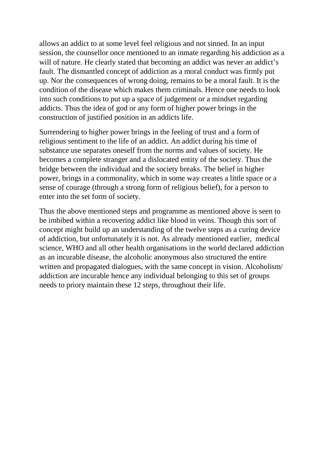allows an addict to at some level feel religious and not sinned. In an input session, the counsellor once mentioned to an inmate regarding his addiction as a will of nature. He clearly stated that becoming an addict was never an addict's fault. The dismantled concept of addiction as a moral conduct was firmly put up. Nor the consequences of wrong doing, remains to be a moral fault. It is the condition of the disease which makes them criminals. Hence one needs to look into such conditions to put up a space of judgement or a mindset regarding addicts. Thus the idea of god or any form of higher power brings in the construction of justified position in an addicts life.

Surrendering to higher power brings in the feeling of trust and a form of religious sentiment to the life of an addict. An addict during his time of substance use separates oneself from the norms and values of society. He becomes a complete stranger and a dislocated entity of the society. Thus the bridge between the individual and the society breaks. The belief in higher power, brings in a commonality, which in some way creates a little space or a sense of courage (through a strong form of religious belief), for a person to enter into the set form of society.

Thus the above mentioned steps and programme as mentioned above is seen to be imbibed within a recovering addict like blood in veins. Though this sort of concept might build up an understanding of the twelve steps as a curing device of addiction, but unfortunately it is not. As already mentioned earlier, medical science, WHO and all other health organisations in the world declared addiction as an incurable disease, the alcoholic anonymous also structured the entire written and propagated dialogues, with the same concept in vision. Alcoholism/ addiction are incurable hence any individual belonging to this set of groups needs to priory maintain these 12 steps, throughout their life.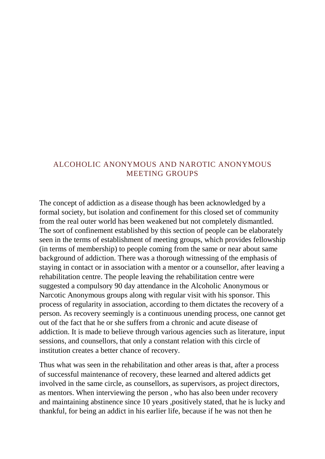## ALCOHOLIC ANONYMOUS AND NAROTIC ANONYMOUS MEETING GROUPS

The concept of addiction as a disease though has been acknowledged by a formal society, but isolation and confinement for this closed set of community from the real outer world has been weakened but not completely dismantled. The sort of confinement established by this section of people can be elaborately seen in the terms of establishment of meeting groups, which provides fellowship (in terms of membership) to people coming from the same or near about same background of addiction. There was a thorough witnessing of the emphasis of staying in contact or in association with a mentor or a counsellor, after leaving a rehabilitation centre. The people leaving the rehabilitation centre were suggested a compulsory 90 day attendance in the Alcoholic Anonymous or Narcotic Anonymous groups along with regular visit with his sponsor. This process of regularity in association, according to them dictates the recovery of a person. As recovery seemingly is a continuous unending process, one cannot get out of the fact that he or she suffers from a chronic and acute disease of addiction. It is made to believe through various agencies such as literature, input sessions, and counsellors, that only a constant relation with this circle of institution creates a better chance of recovery.

Thus what was seen in the rehabilitation and other areas is that, after a process of successful maintenance of recovery, these learned and altered addicts get involved in the same circle, as counsellors, as supervisors, as project directors, as mentors. When interviewing the person , who has also been under recovery and maintaining abstinence since 10 years ,positively stated, that he is lucky and thankful, for being an addict in his earlier life, because if he was not then he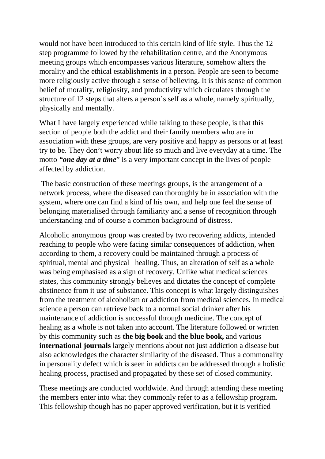would not have been introduced to this certain kind of life style. Thus the 12 step programme followed by the rehabilitation centre, and the Anonymous meeting groups which encompasses various literature, somehow alters the morality and the ethical establishments in a person. People are seen to become more religiously active through a sense of believing. It is this sense of common belief of morality, religiosity, and productivity which circulates through the structure of 12 steps that alters a person's self as a whole, namely spiritually, physically and mentally.

What I have largely experienced while talking to these people, is that this section of people both the addict and their family members who are in association with these groups, are very positive and happy as persons or at least try to be. They don't worry about life so much and live everyday at a time. The motto *"one day at a time*" is a very important concept in the lives of people affected by addiction.

The basic construction of these meetings groups, is the arrangement of a network process, where the diseased can thoroughly be in association with the system, where one can find a kind of his own, and help one feel the sense of belonging materialised through familiarity and a sense of recognition through understanding and of course a common background of distress.

Alcoholic anonymous group was created by two recovering addicts, intended reaching to people who were facing similar consequences of addiction, when according to them, a recovery could be maintained through a process of spiritual, mental and physical healing. Thus, an alteration of self as a whole was being emphasised as a sign of recovery. Unlike what medical sciences states, this community strongly believes and dictates the concept of complete abstinence from it use of substance. This concept is what largely distinguishes from the treatment of alcoholism or addiction from medical sciences. In medical science a person can retrieve back to a normal social drinker after his maintenance of addiction is successful through medicine. The concept of healing as a whole is not taken into account. The literature followed or written by this community such as **the big book** and **the blue book,** and various **international journals** largely mentions about not just addiction a disease but also acknowledges the character similarity of the diseased. Thus a commonality in personality defect which is seen in addicts can be addressed through a holistic healing process, practised and propagated by these set of closed community.

These meetings are conducted worldwide. And through attending these meeting the members enter into what they commonly refer to as a fellowship program. This fellowship though has no paper approved verification, but it is verified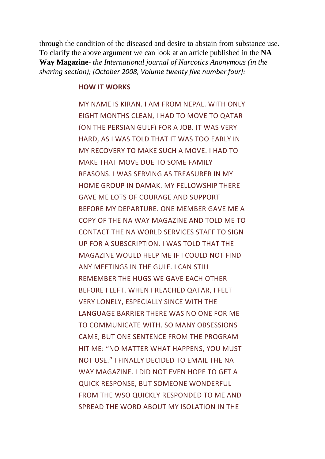through the condition of the diseased and desire to abstain from substance use. To clarify the above argument we can look at an article published in the **NA Way Magazine***- the International journal of Narcotics Anonymous (in the sharing section); [October 2008, Volume twenty five number four]:*

### **HOW IT WORKS**

MY NAME IS KIRAN. I AM FROM NEPAL. WITH ONLY EIGHT MONTHS CLEAN, I HAD TO MOVE TO QATAR (ON THE PERSIAN GULF) FOR A JOB. IT WAS VERY HARD, AS I WAS TOLD THAT IT WAS TOO EARLY IN MY RECOVERY TO MAKE SUCH A MOVE. I HAD TO MAKE THAT MOVE DUE TO SOME FAMILY REASONS. I WAS SERVING AS TREASURER IN MY HOME GROUP IN DAMAK. MY FELLOWSHIP THERE GAVE ME LOTS OF COURAGE AND SUPPORT BEFORE MY DEPARTURE. ONE MEMBER GAVE ME A COPY OF THE NA WAY MAGAZINE AND TOLD ME TO CONTACT THE NA WORLD SERVICES STAFF TO SIGN UP FOR A SUBSCRIPTION. I WAS TOLD THAT THE MAGAZINE WOULD HELP ME IF I COULD NOT FIND ANY MEETINGS IN THE GULF. I CAN STILL REMEMBER THE HUGS WE GAVE EACH OTHER BEFORE I LEFT. WHEN I REACHED QATAR, I FELT VERY LONELY, ESPECIALLY SINCE WITH THE LANGUAGE BARRIER THERE WAS NO ONE FOR ME TO COMMUNICATE WITH. SO MANY OBSESSIONS CAME, BUT ONE SENTENCE FROM THE PROGRAM HIT ME: "NO MATTER WHAT HAPPENS, YOU MUST NOT USE." I FINALLY DECIDED TO EMAIL THE NA WAY MAGAZINE. I DID NOT EVEN HOPE TO GET A QUICK RESPONSE, BUT SOMEONE WONDERFUL FROM THE WSO QUICKLY RESPONDED TO ME AND SPREAD THE WORD ABOUT MY ISOLATION IN THE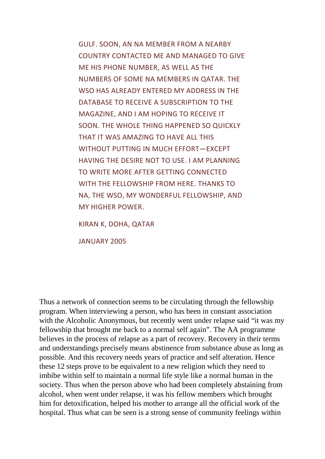GULF. SOON, AN NA MEMBER FROM A NEARBY COUNTRY CONTACTED ME AND MANAGED TO GIVE ME HIS PHONE NUMBER, AS WELL AS THE NUMBERS OF SOME NA MEMBERS IN QATAR. THE WSO HAS ALREADY ENTERED MY ADDRESS IN THE DATABASE TO RECEIVE A SUBSCRIPTION TO THE MAGAZINE, AND I AM HOPING TO RECEIVE IT SOON. THE WHOLE THING HAPPENED SO QUICKLY THAT IT WAS AMAZING TO HAVE ALL THIS WITHOUT PUTTING IN MUCH EFFORT—EXCEPT HAVING THE DESIRE NOT TO USE. I AM PLANNING TO WRITE MORE AFTER GETTING CONNECTED WITH THE FELLOWSHIP FROM HERE. THANKS TO NA, THE WSO, MY WONDERFUL FELLOWSHIP, AND MY HIGHER POWER.

KIRAN K, DOHA, QATAR

JANUARY 2005

Thus a network of connection seems to be circulating through the fellowship program. When interviewing a person, who has been in constant association with the Alcoholic Anonymous, but recently went under relapse said "it was my fellowship that brought me back to a normal self again". The AA programme believes in the process of relapse as a part of recovery. Recovery in their terms and understandings precisely means abstinence from substance abuse as long as possible. And this recovery needs years of practice and self alteration. Hence these 12 steps prove to be equivalent to a new religion which they need to imbibe within self to maintain a normal life style like a normal human in the society. Thus when the person above who had been completely abstaining from alcohol, when went under relapse, it was his fellow members which brought him for detoxification, helped his mother to arrange all the official work of the hospital. Thus what can be seen is a strong sense of community feelings within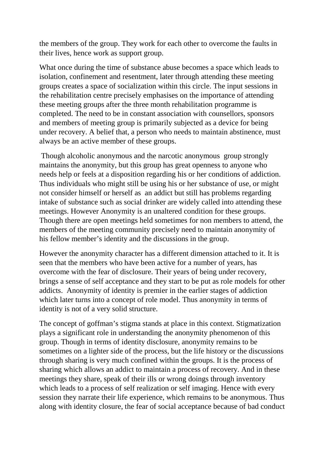the members of the group. They work for each other to overcome the faults in their lives, hence work as support group.

What once during the time of substance abuse becomes a space which leads to isolation, confinement and resentment, later through attending these meeting groups creates a space of socialization within this circle. The input sessions in the rehabilitation centre precisely emphasises on the importance of attending these meeting groups after the three month rehabilitation programme is completed. The need to be in constant association with counsellors, sponsors and members of meeting group is primarily subjected as a device for being under recovery. A belief that, a person who needs to maintain abstinence, must always be an active member of these groups.

Though alcoholic anonymous and the narcotic anonymous group strongly maintains the anonymity, but this group has great openness to anyone who needs help or feels at a disposition regarding his or her conditions of addiction. Thus individuals who might still be using his or her substance of use, or might not consider himself or herself as an addict but still has problems regarding intake of substance such as social drinker are widely called into attending these meetings. However Anonymity is an unaltered condition for these groups. Though there are open meetings held sometimes for non members to attend, the members of the meeting community precisely need to maintain anonymity of his fellow member's identity and the discussions in the group.

However the anonymity character has a different dimension attached to it. It is seen that the members who have been active for a number of years, has overcome with the fear of disclosure. Their years of being under recovery, brings a sense of self acceptance and they start to be put as role models for other addicts. Anonymity of identity is premier in the earlier stages of addiction which later turns into a concept of role model. Thus anonymity in terms of identity is not of a very solid structure.

The concept of goffman's stigma stands at place in this context. Stigmatization plays a significant role in understanding the anonymity phenomenon of this group. Though in terms of identity disclosure, anonymity remains to be sometimes on a lighter side of the process, but the life history or the discussions through sharing is very much confined within the groups. It is the process of sharing which allows an addict to maintain a process of recovery. And in these meetings they share, speak of their ills or wrong doings through inventory which leads to a process of self realization or self imaging. Hence with every session they narrate their life experience, which remains to be anonymous. Thus along with identity closure, the fear of social acceptance because of bad conduct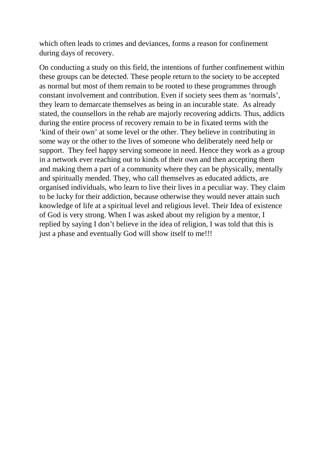which often leads to crimes and deviances, forms a reason for confinement during days of recovery.

On conducting a study on this field, the intentions of further confinement within these groups can be detected. These people return to the society to be accepted as normal but most of them remain to be rooted to these programmes through constant involvement and contribution. Even if society sees them as 'normals', they learn to demarcate themselves as being in an incurable state. As already stated, the counsellors in the rehab are majorly recovering addicts. Thus, addicts during the entire process of recovery remain to be in fixated terms with the 'kind of their own' at some level or the other. They believe in contributing in some way or the other to the lives of someone who deliberately need help or support. They feel happy serving someone in need. Hence they work as a group in a network ever reaching out to kinds of their own and then accepting them and making them a part of a community where they can be physically, mentally and spiritually mended. They, who call themselves as educated addicts, are organised individuals, who learn to live their lives in a peculiar way. They claim to be lucky for their addiction, because otherwise they would never attain such knowledge of life at a spiritual level and religious level. Their Idea of existence of God is very strong. When I was asked about my religion by a mentor, I replied by saying I don't believe in the idea of religion, I was told that this is just a phase and eventually God will show itself to me!!!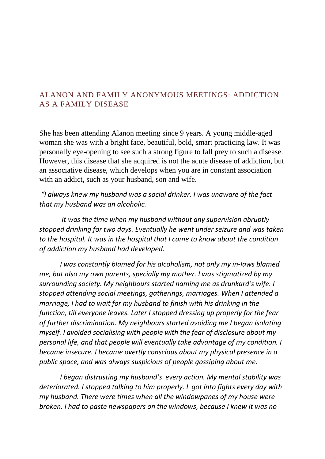## ALANON AND FAMILY ANONYMOUS MEETINGS: ADDICTION AS A FAMILY DISEASE

She has been attending Alanon meeting since 9 years. A young middle-aged woman she was with a bright face, beautiful, bold, smart practicing law. It was personally eye-opening to see such a strong figure to fall prey to such a disease. However, this disease that she acquired is not the acute disease of addiction, but an associative disease, which develops when you are in constant association with an addict, such as your husband, son and wife.

*"I always knew my husband was a social drinker. I was unaware of the fact that my husband was an alcoholic.* 

 *It was the time when my husband without any supervision abruptly stopped drinking for two days. Eventually he went under seizure and was taken to the hospital. It was in the hospital that I came to know about the condition of addiction my husband had developed.* 

 *I was constantly blamed for his alcoholism, not only my in-laws blamed me, but also my own parents, specially my mother. I was stigmatized by my surrounding society. My neighbours started naming me as drunkard's wife. I stopped attending social meetings, gatherings, marriages. When I attended a marriage, I had to wait for my husband to finish with his drinking in the function, till everyone leaves. Later I stopped dressing up properly for the fear of further discrimination. My neighbours started avoiding me I began isolating myself. I avoided socialising with people with the fear of disclosure about my personal life, and that people will eventually take advantage of my condition. I became insecure. I became overtly conscious about my physical presence in a public space, and was always suspicious of people gossiping about me.* 

 *I began distrusting my husband's every action. My mental stability was deteriorated. I stopped talking to him properly. I got into fights every day with my husband. There were times when all the windowpanes of my house were broken. I had to paste newspapers on the windows, because I knew it was no*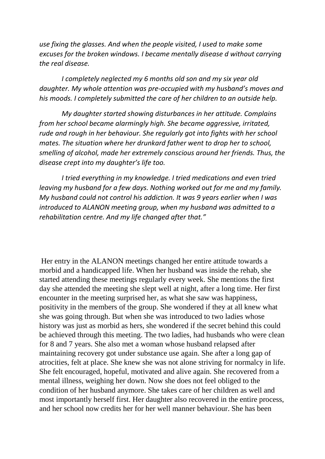*use fixing the glasses. And when the people visited, I used to make some excuses for the broken windows. I became mentally disease d without carrying the real disease.*

 *I completely neglected my 6 months old son and my six year old daughter. My whole attention was pre-occupied with my husband's moves and his moods. I completely submitted the care of her children to an outside help.* 

 *My daughter started showing disturbances in her attitude. Complains from her school became alarmingly high. She became aggressive, irritated, rude and rough in her behaviour. She regularly got into fights with her school mates. The situation where her drunkard father went to drop her to school, smelling of alcohol, made her extremely conscious around her friends. Thus, the disease crept into my daughter's life too.* 

 *I tried everything in my knowledge. I tried medications and even tried leaving my husband for a few days. Nothing worked out for me and my family. My husband could not control his addiction. It was 9 years earlier when I was introduced to ALANON meeting group, when my husband was admitted to a rehabilitation centre. And my life changed after that."*

Her entry in the ALANON meetings changed her entire attitude towards a morbid and a handicapped life. When her husband was inside the rehab, she started attending these meetings regularly every week. She mentions the first day she attended the meeting she slept well at night, after a long time. Her first encounter in the meeting surprised her, as what she saw was happiness, positivity in the members of the group. She wondered if they at all knew what she was going through. But when she was introduced to two ladies whose history was just as morbid as hers, she wondered if the secret behind this could be achieved through this meeting. The two ladies, had husbands who were clean for 8 and 7 years. She also met a woman whose husband relapsed after maintaining recovery got under substance use again. She after a long gap of atrocities, felt at place. She knew she was not alone striving for normalcy in life. She felt encouraged, hopeful, motivated and alive again. She recovered from a mental illness, weighing her down. Now she does not feel obliged to the condition of her husband anymore. She takes care of her children as well and most importantly herself first. Her daughter also recovered in the entire process, and her school now credits her for her well manner behaviour. She has been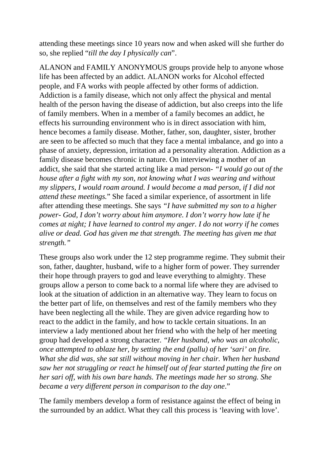attending these meetings since 10 years now and when asked will she further do so, she replied "*till the day I physically can*".

ALANON and FAMILY ANONYMOUS groups provide help to anyone whose life has been affected by an addict. ALANON works for Alcohol effected people, and FA works with people affected by other forms of addiction. Addiction is a family disease, which not only affect the physical and mental health of the person having the disease of addiction, but also creeps into the life of family members. When in a member of a family becomes an addict, he effects his surrounding environment who is in direct association with him, hence becomes a family disease. Mother, father, son, daughter, sister, brother are seen to be affected so much that they face a mental imbalance, and go into a phase of anxiety, depression, irritation ad a personality alteration. Addiction as a family disease becomes chronic in nature. On interviewing a mother of an addict, she said that she started acting like a mad person*- "I would go out of the house after a fight with my son, not knowing what I was wearing and without my slippers, I would roam around. I would become a mad person, if I did not attend these meetings.*" She faced a similar experience, of assortment in life after attending these meetings. She says *"I have submitted my son to a higher power- God, I don't worry about him anymore. I don't worry how late if he comes at night; I have learned to control my anger. I do not worry if he comes alive or dead. God has given me that strength. The meeting has given me that strength."*

These groups also work under the 12 step programme regime. They submit their son, father, daughter, husband, wife to a higher form of power. They surrender their hope through prayers to god and leave everything to almighty. These groups allow a person to come back to a normal life where they are advised to look at the situation of addiction in an alternative way. They learn to focus on the better part of life, on themselves and rest of the family members who they have been neglecting all the while. They are given advice regarding how to react to the addict in the family, and how to tackle certain situations. In an interview a lady mentioned about her friend who with the help of her meeting group had developed a strong character. *"Her husband, who was an alcoholic, once attempted to ablaze her, by setting the end (pallu) of her 'sari' on fire. What she did was, she sat still without moving in her chair. When her husband saw her not struggling or react he himself out of fear started putting the fire on her sari off, with his own bare hands. The meetings made her so strong. She became a very different person in comparison to the day one*."

The family members develop a form of resistance against the effect of being in the surrounded by an addict. What they call this process is 'leaving with love'.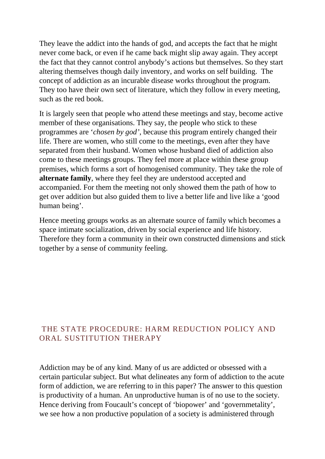They leave the addict into the hands of god, and accepts the fact that he might never come back, or even if he came back might slip away again. They accept the fact that they cannot control anybody's actions but themselves. So they start altering themselves though daily inventory, and works on self building. The concept of addiction as an incurable disease works throughout the program. They too have their own sect of literature, which they follow in every meeting, such as the red book.

It is largely seen that people who attend these meetings and stay, become active member of these organisations. They say, the people who stick to these programmes are '*chosen by god'*, because this program entirely changed their life. There are women, who still come to the meetings, even after they have separated from their husband. Women whose husband died of addiction also come to these meetings groups. They feel more at place within these group premises, which forms a sort of homogenised community. They take the role of **alternate family**, where they feel they are understood accepted and accompanied. For them the meeting not only showed them the path of how to get over addition but also guided them to live a better life and live like a 'good human being'.

Hence meeting groups works as an alternate source of family which becomes a space intimate socialization, driven by social experience and life history. Therefore they form a community in their own constructed dimensions and stick together by a sense of community feeling.

## THE STATE PROCEDURE: HARM REDUCTION POLICY AND ORAL SUSTITUTION THERAPY

Addiction may be of any kind. Many of us are addicted or obsessed with a certain particular subject. But what delineates any form of addiction to the acute form of addiction, we are referring to in this paper? The answer to this question is productivity of a human. An unproductive human is of no use to the society. Hence deriving from Foucault's concept of 'biopower' and 'governmetality', we see how a non productive population of a society is administered through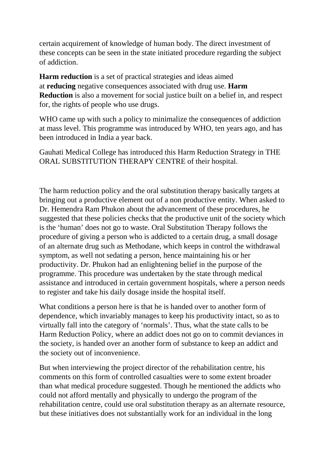certain acquirement of knowledge of human body. The direct investment of these concepts can be seen in the state initiated procedure regarding the subject of addiction.

**Harm reduction** is a set of practical strategies and ideas aimed at **reducing** negative consequences associated with drug use. **Harm Reduction** is also a movement for social justice built on a belief in, and respect for, the rights of people who use drugs.

WHO came up with such a policy to minimalize the consequences of addiction at mass level. This programme was introduced by WHO, ten years ago, and has been introduced in India a year back.

Gauhati Medical College has introduced this Harm Reduction Strategy in THE ORAL SUBSTITUTION THERAPY CENTRE of their hospital.

The harm reduction policy and the oral substitution therapy basically targets at bringing out a productive element out of a non productive entity. When asked to Dr. Hemendra Ram Phukon about the advancement of these procedures, he suggested that these policies checks that the productive unit of the society which is the 'human' does not go to waste. Oral Substitution Therapy follows the procedure of giving a person who is addicted to a certain drug, a small dosage of an alternate drug such as Methodane, which keeps in control the withdrawal symptom, as well not sedating a person, hence maintaining his or her productivity. Dr. Phukon had an enlightening belief in the purpose of the programme. This procedure was undertaken by the state through medical assistance and introduced in certain government hospitals, where a person needs to register and take his daily dosage inside the hospital itself.

What conditions a person here is that he is handed over to another form of dependence, which invariably manages to keep his productivity intact, so as to virtually fall into the category of 'normals'. Thus, what the state calls to be Harm Reduction Policy, where an addict does not go on to commit deviances in the society, is handed over an another form of substance to keep an addict and the society out of inconvenience.

But when interviewing the project director of the rehabilitation centre, his comments on this form of controlled casualties were to some extent broader than what medical procedure suggested. Though he mentioned the addicts who could not afford mentally and physically to undergo the program of the rehabilitation centre, could use oral substitution therapy as an alternate resource, but these initiatives does not substantially work for an individual in the long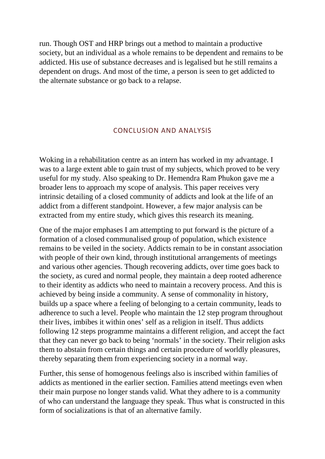run. Though OST and HRP brings out a method to maintain a productive society, but an individual as a whole remains to be dependent and remains to be addicted. His use of substance decreases and is legalised but he still remains a dependent on drugs. And most of the time, a person is seen to get addicted to the alternate substance or go back to a relapse.

### CONCLUSION AND ANALYSIS

Woking in a rehabilitation centre as an intern has worked in my advantage. I was to a large extent able to gain trust of my subjects, which proved to be very useful for my study. Also speaking to Dr. Hemendra Ram Phukon gave me a broader lens to approach my scope of analysis. This paper receives very intrinsic detailing of a closed community of addicts and look at the life of an addict from a different standpoint. However, a few major analysis can be extracted from my entire study, which gives this research its meaning.

One of the major emphases I am attempting to put forward is the picture of a formation of a closed communalised group of population, which existence remains to be veiled in the society. Addicts remain to be in constant association with people of their own kind, through institutional arrangements of meetings and various other agencies. Though recovering addicts, over time goes back to the society, as cured and normal people, they maintain a deep rooted adherence to their identity as addicts who need to maintain a recovery process. And this is achieved by being inside a community. A sense of commonality in history, builds up a space where a feeling of belonging to a certain community, leads to adherence to such a level. People who maintain the 12 step program throughout their lives, imbibes it within ones' self as a religion in itself. Thus addicts following 12 steps programme maintains a different religion, and accept the fact that they can never go back to being 'normals' in the society. Their religion asks them to abstain from certain things and certain procedure of worldly pleasures, thereby separating them from experiencing society in a normal way.

Further, this sense of homogenous feelings also is inscribed within families of addicts as mentioned in the earlier section. Families attend meetings even when their main purpose no longer stands valid. What they adhere to is a community of who can understand the language they speak. Thus what is constructed in this form of socializations is that of an alternative family.